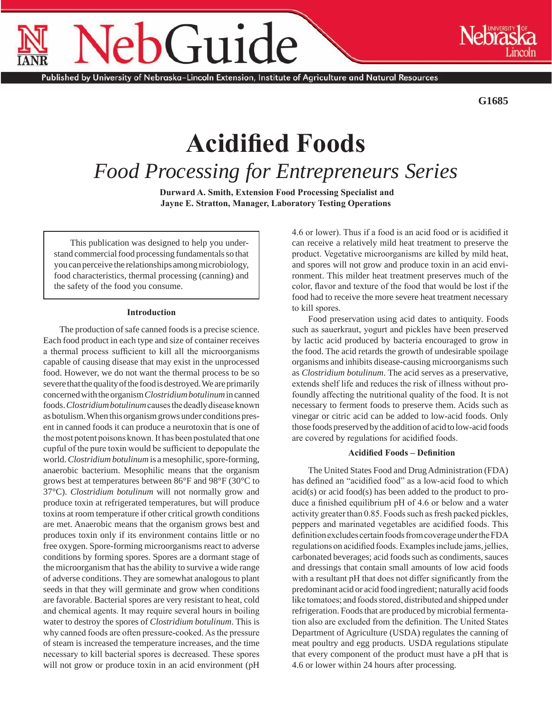# Guide

Published by University of Nebraska–Lincoln Extension, Institute of Agriculture and Natural Resources

**G1685**

# **Acidified Foods** *Food Processing for Entrepreneurs Series*

 **Durward A. Smith, Extension Food Processing Specialist and Jayne E. Stratton, Manager, Laboratory Testing Operations**

This publication was designed to help you understand commercial food processing fundamentals so that you can perceive the relationships among microbiology, food characteristics, thermal processing (canning) and the safety of the food you consume.

# **Introduction**

The production of safe canned foods is a precise science. Each food product in each type and size of container receives a thermal process sufficient to kill all the microorganisms capable of causing disease that may exist in the unprocessed food. However, we do not want the thermal process to be so severe that the quality of the food is destroyed. We are primarily concerned with the organism *Clostridium botulinum* in canned foods. *Clostridium botulinum* causes the deadly disease known as botulism. When this organism grows under conditions present in canned foods it can produce a neurotoxin that is one of the most potent poisons known. It has been postulated that one cupful of the pure toxin would be sufficient to depopulate the world. *Clostridium botulinum* is a mesophilic, spore-forming, anaerobic bacterium. Mesophilic means that the organism grows best at temperatures between 86°F and 98°F (30°C to 37°C). *Clostridium botulinum* will not normally grow and produce toxin at refrigerated temperatures, but will produce toxins at room temperature if other critical growth conditions are met. Anaerobic means that the organism grows best and produces toxin only if its environment contains little or no free oxygen. Spore-forming microorganisms react to adverse conditions by forming spores. Spores are a dormant stage of the microorganism that has the ability to survive a wide range of adverse conditions. They are somewhat analogous to plant seeds in that they will germinate and grow when conditions are favorable. Bacterial spores are very resistant to heat, cold and chemical agents. It may require several hours in boiling water to destroy the spores of *Clostridium botulinum*. This is why canned foods are often pressure-cooked. As the pressure of steam is increased the temperature increases, and the time necessary to kill bacterial spores is decreased. These spores will not grow or produce toxin in an acid environment (pH 4.6 or lower). Thus if a food is an acid food or is acidified it can receive a relatively mild heat treatment to preserve the product. Vegetative microorganisms are killed by mild heat, and spores will not grow and produce toxin in an acid environment. This milder heat treatment preserves much of the color, flavor and texture of the food that would be lost if the food had to receive the more severe heat treatment necessary to kill spores.

Food preservation using acid dates to antiquity. Foods such as sauerkraut, yogurt and pickles have been preserved by lactic acid produced by bacteria encouraged to grow in the food. The acid retards the growth of undesirable spoilage organisms and inhibits disease-causing microorganisms such as *Clostridium botulinum*. The acid serves as a preservative, extends shelf life and reduces the risk of illness without profoundly affecting the nutritional quality of the food. It is not necessary to ferment foods to preserve them. Acids such as vinegar or citric acid can be added to low-acid foods. Only those foods preserved by the addition of acid to low-acid foods are covered by regulations for acidified foods.

# **Acidified Foods – Definition**

The United States Food and Drug Administration (FDA) has defined an "acidified food" as a low-acid food to which acid(s) or acid food(s) has been added to the product to produce a finished equilibrium pH of 4.6 or below and a water activity greater than 0.85. Foods such as fresh packed pickles, peppers and marinated vegetables are acidified foods. This definition excludes certain foods from coverage under the FDA regulations on acidified foods. Examples include jams, jellies, carbonated beverages; acid foods such as condiments, sauces and dressings that contain small amounts of low acid foods with a resultant pH that does not differ significantly from the predominant acid or acid food ingredient; naturally acid foods like tomatoes; and foods stored, distributed and shipped under refrigeration. Foods that are produced by microbial fermentation also are excluded from the definition. The United States Department of Agriculture (USDA) regulates the canning of meat poultry and egg products. USDA regulations stipulate that every component of the product must have a pH that is 4.6 or lower within 24 hours after processing.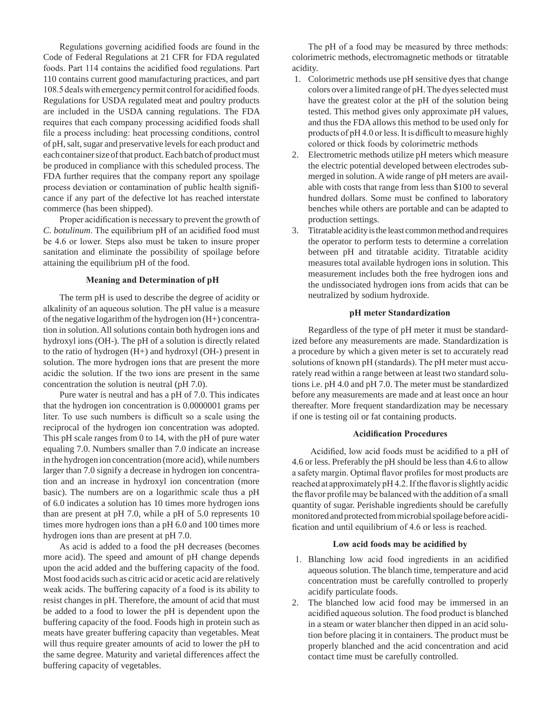Regulations governing acidified foods are found in the Code of Federal Regulations at 21 CFR for FDA regulated foods. Part 114 contains the acidified food regulations. Part 110 contains current good manufacturing practices, and part 108.5 deals with emergency permit control for acidified foods. Regulations for USDA regulated meat and poultry products are included in the USDA canning regulations. The FDA requires that each company processing acidified foods shall file a process including: heat processing conditions, control of pH, salt, sugar and preservative levels for each product and each container size of that product. Each batch of product must be produced in compliance with this scheduled process. The FDA further requires that the company report any spoilage process deviation or contamination of public health significance if any part of the defective lot has reached interstate commerce (has been shipped).

Proper acidification is necessary to prevent the growth of *C. botulinum*. The equilibrium pH of an acidified food must be 4.6 or lower. Steps also must be taken to insure proper sanitation and eliminate the possibility of spoilage before attaining the equilibrium pH of the food.

#### **Meaning and Determination of pH**

The term pH is used to describe the degree of acidity or alkalinity of an aqueous solution. The pH value is a measure of the negative logarithm of the hydrogen ion (H+) concentration in solution. All solutions contain both hydrogen ions and hydroxyl ions (OH-). The pH of a solution is directly related to the ratio of hydrogen (H+) and hydroxyl (OH-) present in solution. The more hydrogen ions that are present the more acidic the solution. If the two ions are present in the same concentration the solution is neutral (pH 7.0).

Pure water is neutral and has a pH of 7.0. This indicates that the hydrogen ion concentration is 0.0000001 grams per liter. To use such numbers is difficult so a scale using the reciprocal of the hydrogen ion concentration was adopted. This pH scale ranges from 0 to 14, with the pH of pure water equaling 7.0. Numbers smaller than 7.0 indicate an increase in the hydrogen ion concentration (more acid), while numbers larger than 7.0 signify a decrease in hydrogen ion concentration and an increase in hydroxyl ion concentration (more basic). The numbers are on a logarithmic scale thus a pH of 6.0 indicates a solution has 10 times more hydrogen ions than are present at pH 7.0, while a pH of 5.0 represents 10 times more hydrogen ions than a pH 6.0 and 100 times more hydrogen ions than are present at pH 7.0.

As acid is added to a food the pH decreases (becomes more acid). The speed and amount of pH change depends upon the acid added and the buffering capacity of the food. Most food acids such as citric acid or acetic acid are relatively weak acids. The buffering capacity of a food is its ability to resist changes in pH. Therefore, the amount of acid that must be added to a food to lower the pH is dependent upon the buffering capacity of the food. Foods high in protein such as meats have greater buffering capacity than vegetables. Meat will thus require greater amounts of acid to lower the pH to the same degree. Maturity and varietal differences affect the buffering capacity of vegetables.

The pH of a food may be measured by three methods: colorimetric methods, electromagnetic methods or titratable acidity.

- 1. Colorimetric methods use pH sensitive dyes that change colors over a limited range of pH. The dyes selected must have the greatest color at the pH of the solution being tested. This method gives only approximate pH values, and thus the FDA allows this method to be used only for products of pH 4.0 or less. It is difficult to measure highly colored or thick foods by colorimetric methods
- 2. Electrometric methods utilize pH meters which measure the electric potential developed between electrodes submerged in solution. A wide range of pH meters are available with costs that range from less than \$100 to several hundred dollars. Some must be confined to laboratory benches while others are portable and can be adapted to production settings.
- 3. Titratable acidity is the least common method and requires the operator to perform tests to determine a correlation between pH and titratable acidity. Titratable acidity measures total available hydrogen ions in solution. This measurement includes both the free hydrogen ions and the undissociated hydrogen ions from acids that can be neutralized by sodium hydroxide.

#### **pH meter Standardization**

Regardless of the type of pH meter it must be standardized before any measurements are made. Standardization is a procedure by which a given meter is set to accurately read solutions of known pH (standards). The pH meter must accurately read within a range between at least two standard solutions i.e. pH 4.0 and pH 7.0. The meter must be standardized before any measurements are made and at least once an hour thereafter. More frequent standardization may be necessary if one is testing oil or fat containing products.

#### **Acidification Procedures**

 Acidified, low acid foods must be acidified to a pH of 4.6 or less. Preferably the pH should be less than 4.6 to allow a safety margin. Optimal flavor profiles for most products are reached at approximately pH 4.2. If the flavor is slightly acidic the flavor profile may be balanced with the addition of a small quantity of sugar. Perishable ingredients should be carefully monitored and protected from microbial spoilage before acidification and until equilibrium of 4.6 or less is reached.

#### **Low acid foods may be acidified by**

- 1. Blanching low acid food ingredients in an acidified aqueous solution. The blanch time, temperature and acid concentration must be carefully controlled to properly acidify particulate foods.
- 2. The blanched low acid food may be immersed in an acidified aqueous solution. The food product is blanched in a steam or water blancher then dipped in an acid solution before placing it in containers. The product must be properly blanched and the acid concentration and acid contact time must be carefully controlled.